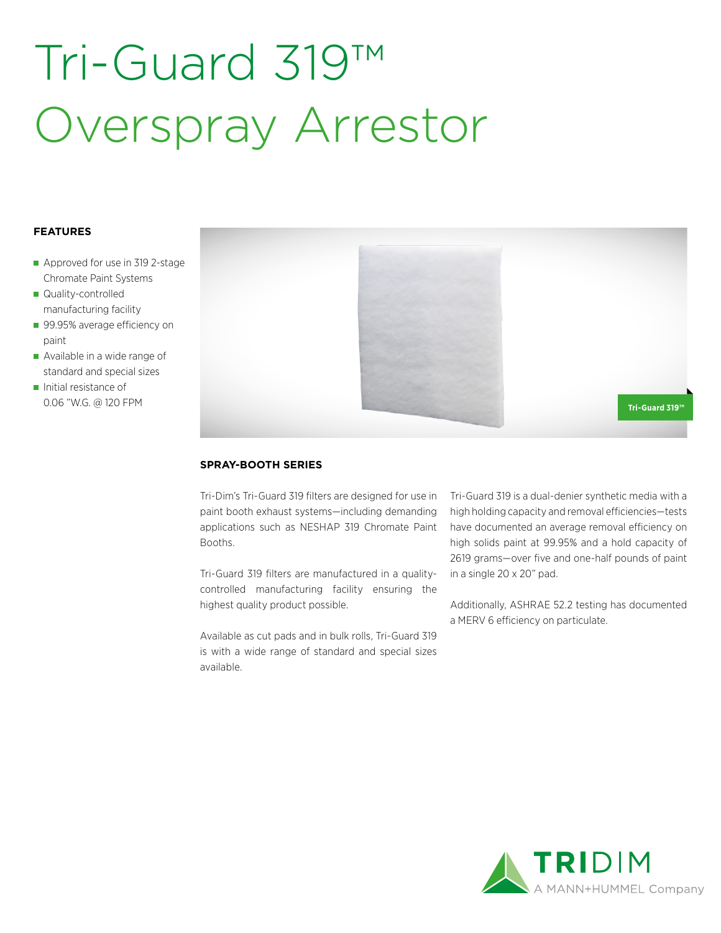# Tri-Guard 319™ Overspray Arrestor

### **FEATURES**

- Approved for use in 319 2-stage Chromate Paint Systems
- Quality-controlled manufacturing facility
- 99.95% average efficiency on paint
- Available in a wide range of standard and special sizes
- Initial resistance of 0.06 "W.G. @ 120 FPM



### **SPRAY-BOOTH SERIES**

Tri-Dim's Tri-Guard 319 filters are designed for use in paint booth exhaust systems—including demanding applications such as NESHAP 319 Chromate Paint Booths.

Tri-Guard 319 filters are manufactured in a qualitycontrolled manufacturing facility ensuring the highest quality product possible.

Available as cut pads and in bulk rolls, Tri-Guard 319 is with a wide range of standard and special sizes available.

Tri-Guard 319 is a dual-denier synthetic media with a high holding capacity and removal efficiencies—tests have documented an average removal efficiency on high solids paint at 99.95% and a hold capacity of 2619 grams—over five and one-half pounds of paint in a single 20 x 20" pad.

Additionally, ASHRAE 52.2 testing has documented a MERV 6 efficiency on particulate.